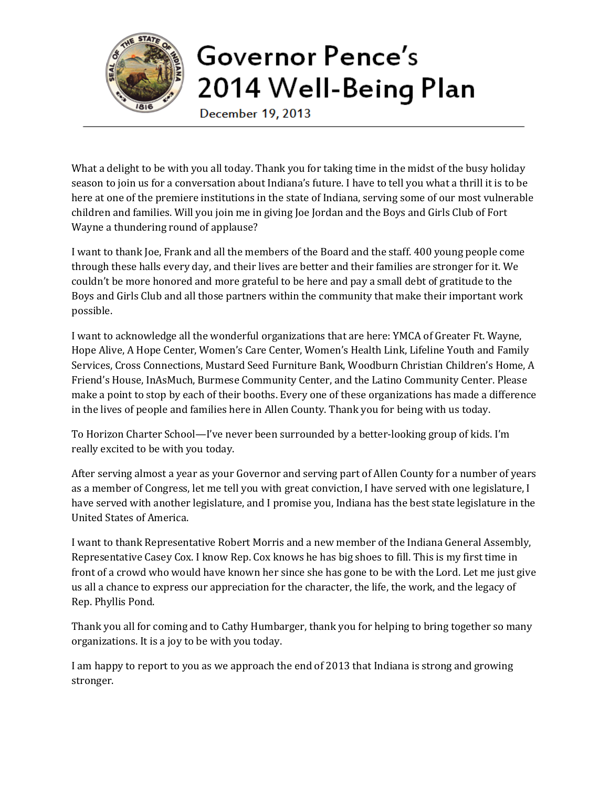

## Governor Pence's 2014 Well-Being Plan

December 19, 2013

What a delight to be with you all today. Thank you for taking time in the midst of the busy holiday season to join us for a conversation about Indiana's future. I have to tell you what a thrill it is to be here at one of the premiere institutions in the state of Indiana, serving some of our most vulnerable children and families. Will you join me in giving Joe Jordan and the Boys and Girls Club of Fort Wayne a thundering round of applause?

I want to thank Joe, Frank and all the members of the Board and the staff. 400 young people come through these halls every day, and their lives are better and their families are stronger for it. We couldn't be more honored and more grateful to be here and pay a small debt of gratitude to the Boys and Girls Club and all those partners within the community that make their important work possible.

I want to acknowledge all the wonderful organizations that are here: YMCA of Greater Ft. Wayne, Hope Alive, A Hope Center, Women's Care Center, Women's Health Link, Lifeline Youth and Family Services, Cross Connections, Mustard Seed Furniture Bank, Woodburn Christian Children's Home, A Friend's House, InAsMuch, Burmese Community Center, and the Latino Community Center. Please make a point to stop by each of their booths. Every one of these organizations has made a difference in the lives of people and families here in Allen County. Thank you for being with us today.

To Horizon Charter School—I've never been surrounded by a better-looking group of kids. I'm really excited to be with you today.

After serving almost a year as your Governor and serving part of Allen County for a number of years as a member of Congress, let me tell you with great conviction, I have served with one legislature, I have served with another legislature, and I promise you, Indiana has the best state legislature in the United States of America.

I want to thank Representative Robert Morris and a new member of the Indiana General Assembly, Representative Casey Cox. I know Rep. Cox knows he has big shoes to fill. This is my first time in front of a crowd who would have known her since she has gone to be with the Lord. Let me just give us all a chance to express our appreciation for the character, the life, the work, and the legacy of Rep. Phyllis Pond.

Thank you all for coming and to Cathy Humbarger, thank you for helping to bring together so many organizations. It is a joy to be with you today.

I am happy to report to you as we approach the end of 2013 that Indiana is strong and growing stronger.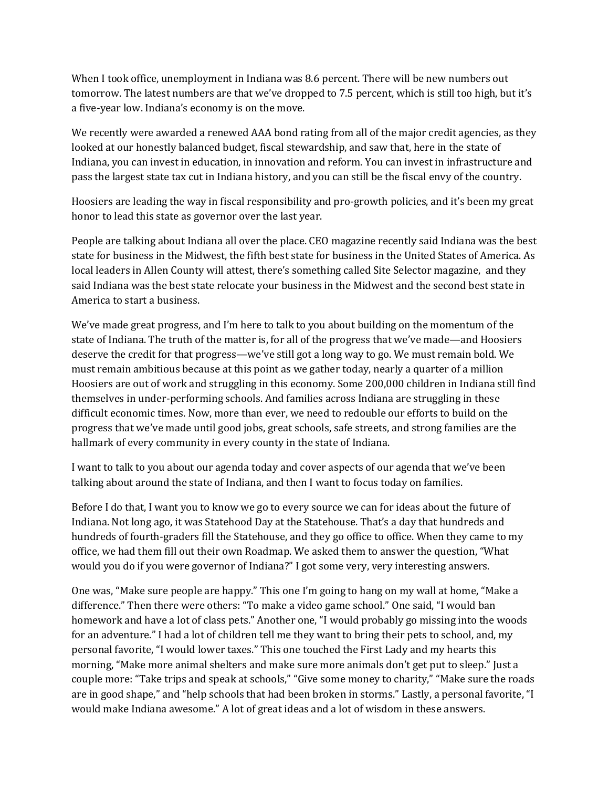When I took office, unemployment in Indiana was 8.6 percent. There will be new numbers out tomorrow. The latest numbers are that we've dropped to 7.5 percent, which is still too high, but it's a five-year low. Indiana's economy is on the move.

We recently were awarded a renewed AAA bond rating from all of the major credit agencies, as they looked at our honestly balanced budget, fiscal stewardship, and saw that, here in the state of Indiana, you can invest in education, in innovation and reform. You can invest in infrastructure and pass the largest state tax cut in Indiana history, and you can still be the fiscal envy of the country.

Hoosiers are leading the way in fiscal responsibility and pro-growth policies, and it's been my great honor to lead this state as governor over the last year.

People are talking about Indiana all over the place. CEO magazine recently said Indiana was the best state for business in the Midwest, the fifth best state for business in the United States of America. As local leaders in Allen County will attest, there's something called Site Selector magazine, and they said Indiana was the best state relocate your business in the Midwest and the second best state in America to start a business.

We've made great progress, and I'm here to talk to you about building on the momentum of the state of Indiana. The truth of the matter is, for all of the progress that we've made—and Hoosiers deserve the credit for that progress—we've still got a long way to go. We must remain bold. We must remain ambitious because at this point as we gather today, nearly a quarter of a million Hoosiers are out of work and struggling in this economy. Some 200,000 children in Indiana still find themselves in under-performing schools. And families across Indiana are struggling in these difficult economic times. Now, more than ever, we need to redouble our efforts to build on the progress that we've made until good jobs, great schools, safe streets, and strong families are the hallmark of every community in every county in the state of Indiana.

I want to talk to you about our agenda today and cover aspects of our agenda that we've been talking about around the state of Indiana, and then I want to focus today on families.

Before I do that, I want you to know we go to every source we can for ideas about the future of Indiana. Not long ago, it was Statehood Day at the Statehouse. That's a day that hundreds and hundreds of fourth-graders fill the Statehouse, and they go office to office. When they came to my office, we had them fill out their own Roadmap. We asked them to answer the question, "What would you do if you were governor of Indiana?" I got some very, very interesting answers.

One was, "Make sure people are happy." This one I'm going to hang on my wall at home, "Make a difference." Then there were others: "To make a video game school." One said, "I would ban homework and have a lot of class pets." Another one, "I would probably go missing into the woods for an adventure." I had a lot of children tell me they want to bring their pets to school, and, my personal favorite, "I would lower taxes." This one touched the First Lady and my hearts this morning, "Make more animal shelters and make sure more animals don't get put to sleep." Just a couple more: "Take trips and speak at schools," "Give some money to charity," "Make sure the roads are in good shape," and "help schools that had been broken in storms." Lastly, a personal favorite, "I would make Indiana awesome." A lot of great ideas and a lot of wisdom in these answers.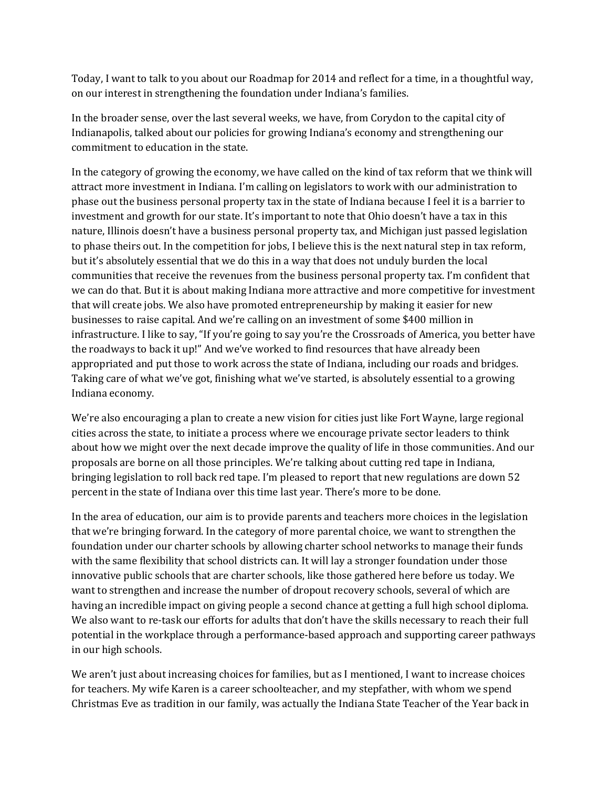Today, I want to talk to you about our Roadmap for 2014 and reflect for a time, in a thoughtful way, on our interest in strengthening the foundation under Indiana's families.

In the broader sense, over the last several weeks, we have, from Corydon to the capital city of Indianapolis, talked about our policies for growing Indiana's economy and strengthening our commitment to education in the state.

In the category of growing the economy, we have called on the kind of tax reform that we think will attract more investment in Indiana. I'm calling on legislators to work with our administration to phase out the business personal property tax in the state of Indiana because I feel it is a barrier to investment and growth for our state. It's important to note that Ohio doesn't have a tax in this nature, Illinois doesn't have a business personal property tax, and Michigan just passed legislation to phase theirs out. In the competition for jobs, I believe this is the next natural step in tax reform, but it's absolutely essential that we do this in a way that does not unduly burden the local communities that receive the revenues from the business personal property tax. I'm confident that we can do that. But it is about making Indiana more attractive and more competitive for investment that will create jobs. We also have promoted entrepreneurship by making it easier for new businesses to raise capital. And we're calling on an investment of some \$400 million in infrastructure. I like to say, "If you're going to say you're the Crossroads of America, you better have the roadways to back it up!" And we've worked to find resources that have already been appropriated and put those to work across the state of Indiana, including our roads and bridges. Taking care of what we've got, finishing what we've started, is absolutely essential to a growing Indiana economy.

We're also encouraging a plan to create a new vision for cities just like Fort Wayne, large regional cities across the state, to initiate a process where we encourage private sector leaders to think about how we might over the next decade improve the quality of life in those communities. And our proposals are borne on all those principles. We're talking about cutting red tape in Indiana, bringing legislation to roll back red tape. I'm pleased to report that new regulations are down 52 percent in the state of Indiana over this time last year. There's more to be done.

In the area of education, our aim is to provide parents and teachers more choices in the legislation that we're bringing forward. In the category of more parental choice, we want to strengthen the foundation under our charter schools by allowing charter school networks to manage their funds with the same flexibility that school districts can. It will lay a stronger foundation under those innovative public schools that are charter schools, like those gathered here before us today. We want to strengthen and increase the number of dropout recovery schools, several of which are having an incredible impact on giving people a second chance at getting a full high school diploma. We also want to re-task our efforts for adults that don't have the skills necessary to reach their full potential in the workplace through a performance-based approach and supporting career pathways in our high schools.

We aren't just about increasing choices for families, but as I mentioned, I want to increase choices for teachers. My wife Karen is a career schoolteacher, and my stepfather, with whom we spend Christmas Eve as tradition in our family, was actually the Indiana State Teacher of the Year back in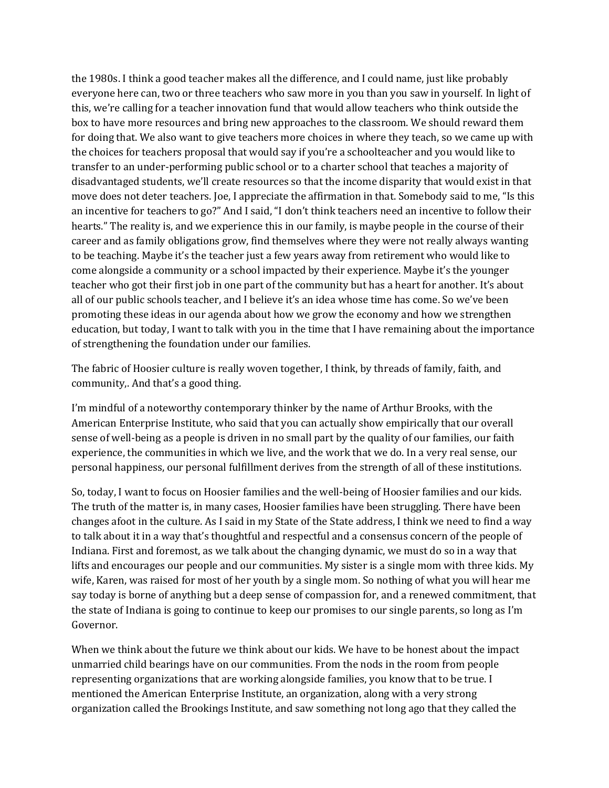the 1980s. I think a good teacher makes all the difference, and I could name, just like probably everyone here can, two or three teachers who saw more in you than you saw in yourself. In light of this, we're calling for a teacher innovation fund that would allow teachers who think outside the box to have more resources and bring new approaches to the classroom. We should reward them for doing that. We also want to give teachers more choices in where they teach, so we came up with the choices for teachers proposal that would say if you're a schoolteacher and you would like to transfer to an under-performing public school or to a charter school that teaches a majority of disadvantaged students, we'll create resources so that the income disparity that would exist in that move does not deter teachers. Joe, I appreciate the affirmation in that. Somebody said to me, "Is this an incentive for teachers to go?" And I said, "I don't think teachers need an incentive to follow their hearts." The reality is, and we experience this in our family, is maybe people in the course of their career and as family obligations grow, find themselves where they were not really always wanting to be teaching. Maybe it's the teacher just a few years away from retirement who would like to come alongside a community or a school impacted by their experience. Maybe it's the younger teacher who got their first job in one part of the community but has a heart for another. It's about all of our public schools teacher, and I believe it's an idea whose time has come. So we've been promoting these ideas in our agenda about how we grow the economy and how we strengthen education, but today, I want to talk with you in the time that I have remaining about the importance of strengthening the foundation under our families.

The fabric of Hoosier culture is really woven together, I think, by threads of family, faith, and community,. And that's a good thing.

I'm mindful of a noteworthy contemporary thinker by the name of Arthur Brooks, with the American Enterprise Institute, who said that you can actually show empirically that our overall sense of well-being as a people is driven in no small part by the quality of our families, our faith experience, the communities in which we live, and the work that we do. In a very real sense, our personal happiness, our personal fulfillment derives from the strength of all of these institutions.

So, today, I want to focus on Hoosier families and the well-being of Hoosier families and our kids. The truth of the matter is, in many cases, Hoosier families have been struggling. There have been changes afoot in the culture. As I said in my State of the State address, I think we need to find a way to talk about it in a way that's thoughtful and respectful and a consensus concern of the people of Indiana. First and foremost, as we talk about the changing dynamic, we must do so in a way that lifts and encourages our people and our communities. My sister is a single mom with three kids. My wife, Karen, was raised for most of her youth by a single mom. So nothing of what you will hear me say today is borne of anything but a deep sense of compassion for, and a renewed commitment, that the state of Indiana is going to continue to keep our promises to our single parents, so long as I'm Governor.

When we think about the future we think about our kids. We have to be honest about the impact unmarried child bearings have on our communities. From the nods in the room from people representing organizations that are working alongside families, you know that to be true. I mentioned the American Enterprise Institute, an organization, along with a very strong organization called the Brookings Institute, and saw something not long ago that they called the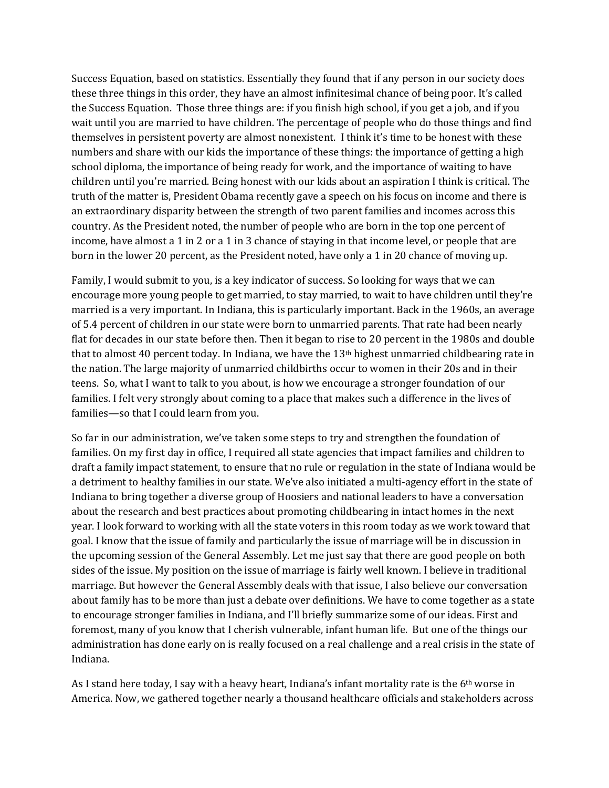Success Equation, based on statistics. Essentially they found that if any person in our society does these three things in this order, they have an almost infinitesimal chance of being poor. It's called the Success Equation. Those three things are: if you finish high school, if you get a job, and if you wait until you are married to have children. The percentage of people who do those things and find themselves in persistent poverty are almost nonexistent. I think it's time to be honest with these numbers and share with our kids the importance of these things: the importance of getting a high school diploma, the importance of being ready for work, and the importance of waiting to have children until you're married. Being honest with our kids about an aspiration I think is critical. The truth of the matter is, President Obama recently gave a speech on his focus on income and there is an extraordinary disparity between the strength of two parent families and incomes across this country. As the President noted, the number of people who are born in the top one percent of income, have almost a 1 in 2 or a 1 in 3 chance of staying in that income level, or people that are born in the lower 20 percent, as the President noted, have only a 1 in 20 chance of moving up.

Family, I would submit to you, is a key indicator of success. So looking for ways that we can encourage more young people to get married, to stay married, to wait to have children until they're married is a very important. In Indiana, this is particularly important. Back in the 1960s, an average of 5.4 percent of children in our state were born to unmarried parents. That rate had been nearly flat for decades in our state before then. Then it began to rise to 20 percent in the 1980s and double that to almost 40 percent today. In Indiana, we have the  $13<sup>th</sup>$  highest unmarried childbearing rate in the nation. The large majority of unmarried childbirths occur to women in their 20s and in their teens. So, what I want to talk to you about, is how we encourage a stronger foundation of our families. I felt very strongly about coming to a place that makes such a difference in the lives of families—so that I could learn from you.

So far in our administration, we've taken some steps to try and strengthen the foundation of families. On my first day in office, I required all state agencies that impact families and children to draft a family impact statement, to ensure that no rule or regulation in the state of Indiana would be a detriment to healthy families in our state. We've also initiated a multi-agency effort in the state of Indiana to bring together a diverse group of Hoosiers and national leaders to have a conversation about the research and best practices about promoting childbearing in intact homes in the next year. I look forward to working with all the state voters in this room today as we work toward that goal. I know that the issue of family and particularly the issue of marriage will be in discussion in the upcoming session of the General Assembly. Let me just say that there are good people on both sides of the issue. My position on the issue of marriage is fairly well known. I believe in traditional marriage. But however the General Assembly deals with that issue, I also believe our conversation about family has to be more than just a debate over definitions. We have to come together as a state to encourage stronger families in Indiana, and I'll briefly summarize some of our ideas. First and foremost, many of you know that I cherish vulnerable, infant human life. But one of the things our administration has done early on is really focused on a real challenge and a real crisis in the state of Indiana.

As I stand here today, I say with a heavy heart, Indiana's infant mortality rate is the 6th worse in America. Now, we gathered together nearly a thousand healthcare officials and stakeholders across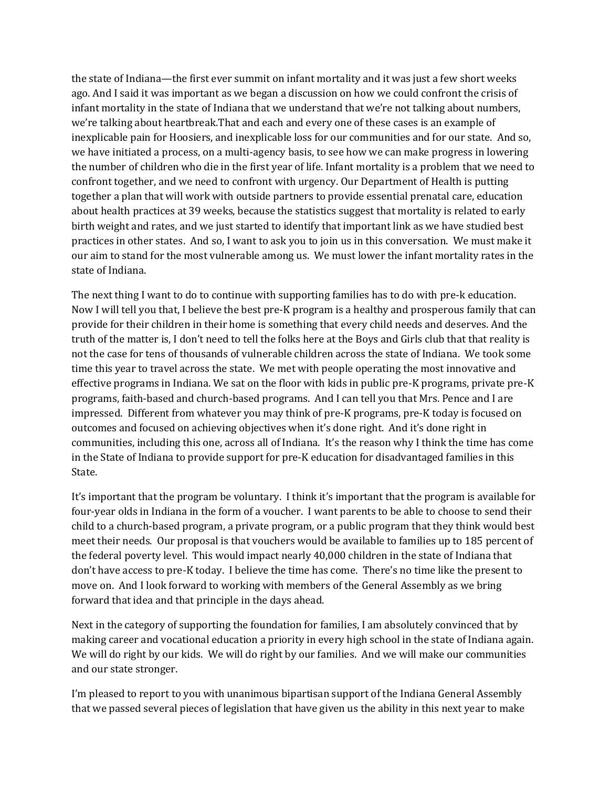the state of Indiana—the first ever summit on infant mortality and it was just a few short weeks ago. And I said it was important as we began a discussion on how we could confront the crisis of infant mortality in the state of Indiana that we understand that we're not talking about numbers, we're talking about heartbreak.That and each and every one of these cases is an example of inexplicable pain for Hoosiers, and inexplicable loss for our communities and for our state. And so, we have initiated a process, on a multi-agency basis, to see how we can make progress in lowering the number of children who die in the first year of life. Infant mortality is a problem that we need to confront together, and we need to confront with urgency. Our Department of Health is putting together a plan that will work with outside partners to provide essential prenatal care, education about health practices at 39 weeks, because the statistics suggest that mortality is related to early birth weight and rates, and we just started to identify that important link as we have studied best practices in other states. And so, I want to ask you to join us in this conversation. We must make it our aim to stand for the most vulnerable among us. We must lower the infant mortality rates in the state of Indiana.

The next thing I want to do to continue with supporting families has to do with pre-k education. Now I will tell you that, I believe the best pre-K program is a healthy and prosperous family that can provide for their children in their home is something that every child needs and deserves. And the truth of the matter is, I don't need to tell the folks here at the Boys and Girls club that that reality is not the case for tens of thousands of vulnerable children across the state of Indiana. We took some time this year to travel across the state. We met with people operating the most innovative and effective programs in Indiana. We sat on the floor with kids in public pre-K programs, private pre-K programs, faith-based and church-based programs. And I can tell you that Mrs. Pence and I are impressed. Different from whatever you may think of pre-K programs, pre-K today is focused on outcomes and focused on achieving objectives when it's done right. And it's done right in communities, including this one, across all of Indiana. It's the reason why I think the time has come in the State of Indiana to provide support for pre-K education for disadvantaged families in this State.

It's important that the program be voluntary. I think it's important that the program is available for four-year olds in Indiana in the form of a voucher. I want parents to be able to choose to send their child to a church-based program, a private program, or a public program that they think would best meet their needs. Our proposal is that vouchers would be available to families up to 185 percent of the federal poverty level. This would impact nearly 40,000 children in the state of Indiana that don't have access to pre-K today. I believe the time has come. There's no time like the present to move on. And I look forward to working with members of the General Assembly as we bring forward that idea and that principle in the days ahead.

Next in the category of supporting the foundation for families, I am absolutely convinced that by making career and vocational education a priority in every high school in the state of Indiana again. We will do right by our kids. We will do right by our families. And we will make our communities and our state stronger.

I'm pleased to report to you with unanimous bipartisan support of the Indiana General Assembly that we passed several pieces of legislation that have given us the ability in this next year to make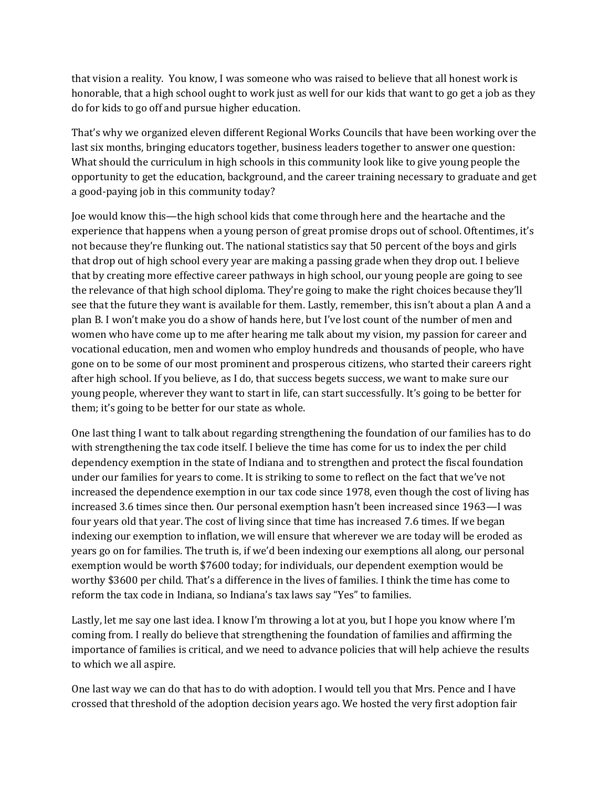that vision a reality. You know, I was someone who was raised to believe that all honest work is honorable, that a high school ought to work just as well for our kids that want to go get a job as they do for kids to go off and pursue higher education.

That's why we organized eleven different Regional Works Councils that have been working over the last six months, bringing educators together, business leaders together to answer one question: What should the curriculum in high schools in this community look like to give young people the opportunity to get the education, background, and the career training necessary to graduate and get a good-paying job in this community today?

Joe would know this—the high school kids that come through here and the heartache and the experience that happens when a young person of great promise drops out of school. Oftentimes, it's not because they're flunking out. The national statistics say that 50 percent of the boys and girls that drop out of high school every year are making a passing grade when they drop out. I believe that by creating more effective career pathways in high school, our young people are going to see the relevance of that high school diploma. They're going to make the right choices because they'll see that the future they want is available for them. Lastly, remember, this isn't about a plan A and a plan B. I won't make you do a show of hands here, but I've lost count of the number of men and women who have come up to me after hearing me talk about my vision, my passion for career and vocational education, men and women who employ hundreds and thousands of people, who have gone on to be some of our most prominent and prosperous citizens, who started their careers right after high school. If you believe, as I do, that success begets success, we want to make sure our young people, wherever they want to start in life, can start successfully. It's going to be better for them; it's going to be better for our state as whole.

One last thing I want to talk about regarding strengthening the foundation of our families has to do with strengthening the tax code itself. I believe the time has come for us to index the per child dependency exemption in the state of Indiana and to strengthen and protect the fiscal foundation under our families for years to come. It is striking to some to reflect on the fact that we've not increased the dependence exemption in our tax code since 1978, even though the cost of living has increased 3.6 times since then. Our personal exemption hasn't been increased since 1963—I was four years old that year. The cost of living since that time has increased 7.6 times. If we began indexing our exemption to inflation, we will ensure that wherever we are today will be eroded as years go on for families. The truth is, if we'd been indexing our exemptions all along, our personal exemption would be worth \$7600 today; for individuals, our dependent exemption would be worthy \$3600 per child. That's a difference in the lives of families. I think the time has come to reform the tax code in Indiana, so Indiana's tax laws say "Yes" to families.

Lastly, let me say one last idea. I know I'm throwing a lot at you, but I hope you know where I'm coming from. I really do believe that strengthening the foundation of families and affirming the importance of families is critical, and we need to advance policies that will help achieve the results to which we all aspire.

One last way we can do that has to do with adoption. I would tell you that Mrs. Pence and I have crossed that threshold of the adoption decision years ago. We hosted the very first adoption fair